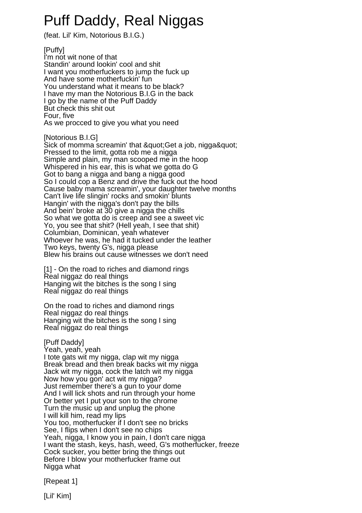## Puff Daddy, Real Niggas

(feat. Lil' Kim, Notorious B.I.G.)

[Puffy] I'm not wit none of that Standin' around lookin' cool and shit I want you motherfuckers to jump the fuck up And have some motherfuckin' fun You understand what it means to be black? I have my man the Notorious B.I.G in the back I go by the name of the Puff Daddy But check this shit out Four, five As we procced to give you what you need

[Notorious B.I.G]

Sick of momma screamin' that & quot: Get a job, nigga& quot: Pressed to the limit, gotta rob me a nigga Simple and plain, my man scooped me in the hoop Whispered in his ear, this is what we gotta do G Got to bang a nigga and bang a nigga good So I could cop a Benz and drive the fuck out the hood Cause baby mama screamin', your daughter twelve months Can't live life slingin' rocks and smokin' blunts Hangin' with the nigga's don't pay the bills And bein' broke at 30 give a nigga the chills So what we gotta do is creep and see a sweet vic Yo, you see that shit? (Hell yeah, I see that shit) Columbian, Dominican, yeah whatever Whoever he was, he had it tucked under the leather Two keys, twenty G's, nigga please Blew his brains out cause witnesses we don't need

[1] - On the road to riches and diamond rings Real niggaz do real things Hanging wit the bitches is the song I sing Real niggaz do real things

On the road to riches and diamond rings Real niggaz do real things Hanging wit the bitches is the song I sing Real niggaz do real things

[Puff Daddy]

Yeah, yeah, yeah I tote gats wit my nigga, clap wit my nigga Break bread and then break backs wit my nigga Jack wit my nigga, cock the latch wit my nigga Now how you gon' act wit my nigga? Just remember there's a gun to your dome And I will lick shots and run through your home Or better yet I put your son to the chrome Turn the music up and unplug the phone I will kill him, read my lips You too, motherfucker if I don't see no bricks See, I flips when I don't see no chips Yeah, nigga, I know you in pain, I don't care nigga I want the stash, keys, hash, weed, G's motherfucker, freeze Cock sucker, you better bring the things out Before I blow your motherfucker frame out Nigga what

[Repeat 1]

[Lil' Kim]